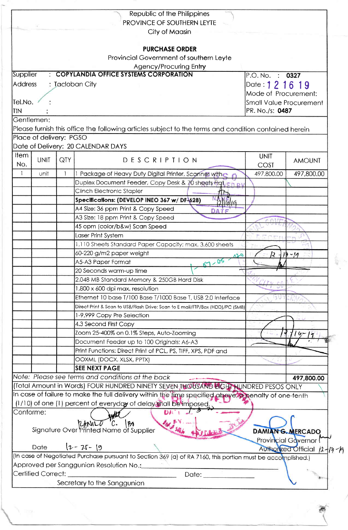|                |                         |                                                 | Republic of the Philippines                                                                                 |                   |                              |  |
|----------------|-------------------------|-------------------------------------------------|-------------------------------------------------------------------------------------------------------------|-------------------|------------------------------|--|
|                |                         |                                                 | PROVINCE OF SOUTHERN LEYTE                                                                                  |                   |                              |  |
|                |                         |                                                 | City of Maasin                                                                                              |                   |                              |  |
|                |                         |                                                 | <b>PURCHASE ORDER</b>                                                                                       |                   |                              |  |
|                |                         |                                                 | Provincial Government of southern Leyte                                                                     |                   |                              |  |
|                |                         |                                                 | Agency/Procuring Entry                                                                                      |                   |                              |  |
| Supplier       |                         |                                                 | <b>COPYLANDIA OFFICE SYSTEMS CORPORATION</b>                                                                | P.O. No. : 0327   |                              |  |
| <b>Address</b> |                         |                                                 | : Tacloban City                                                                                             | Date: 1 2 1 6 1 9 |                              |  |
|                |                         | Mode of Procurement:<br>Small Value Procurement |                                                                                                             |                   |                              |  |
| Tel.No.        |                         |                                                 |                                                                                                             |                   |                              |  |
| <b>TIN</b>     |                         | PR. No./s: 0487                                 |                                                                                                             |                   |                              |  |
|                | Gentlemen:              |                                                 |                                                                                                             |                   |                              |  |
|                |                         |                                                 | Please furnish this office the following articles subject to the terms and condition contained herein       |                   |                              |  |
|                | Place of delivery: PGSO |                                                 |                                                                                                             |                   |                              |  |
|                |                         |                                                 | Date of Delivery: 20 CALENDAR DAYS                                                                          |                   |                              |  |
| Item           |                         |                                                 |                                                                                                             | <b>UNIT</b>       |                              |  |
| No.            | <b>UNIT</b>             | QTY                                             | DESCRIPTION                                                                                                 | COST              | <b>AMOUNT</b>                |  |
| $\mathbf{1}$   | unit                    | 1                                               | 1 Package of Heavy Duty Digital Printer, Scanner with                                                       | 497,800.00        | 497,800.00                   |  |
|                |                         |                                                 | Duplex Document Feeder, Copy Desk & 70 sheets filqt Fn pt                                                   |                   |                              |  |
|                |                         |                                                 | Clinch Electronic Stapler                                                                                   |                   |                              |  |
|                |                         |                                                 | Specifications: (DEVELOP INEO 367 w/ DF-628)                                                                |                   |                              |  |
|                |                         |                                                 | A4 Size: 36 ppm Print & Copy Speed<br><b>DATE</b>                                                           |                   |                              |  |
|                |                         |                                                 | A3 Size: 18 ppm Print & Copy Speed                                                                          |                   |                              |  |
|                |                         |                                                 | 45 opm (color/b&w) Scan Speed                                                                               |                   |                              |  |
|                |                         |                                                 | Laser Print System                                                                                          |                   |                              |  |
|                |                         |                                                 | 1,110 Sheets Standard Paper Capacity; max. 3,600 sheets                                                     |                   |                              |  |
|                |                         |                                                 | 60-220 g/m2 paper weight<br>$\Delta S$                                                                      |                   | $-11$                        |  |
|                |                         |                                                 | $57 - 05$<br>A5-A3 Paper Format                                                                             |                   |                              |  |
|                |                         |                                                 | 20 Seconds warm-up time                                                                                     |                   |                              |  |
|                |                         |                                                 | 2,048 MB Standard Memory & 250GB Hard Disk                                                                  |                   |                              |  |
|                |                         |                                                 | 1,800 x 600 dpi max. resolution                                                                             |                   |                              |  |
|                |                         |                                                 | Ethernet 10 base T/100 Base T/1000 Base T, USB 2.0 Interface                                                |                   |                              |  |
|                |                         |                                                 | Direct Print & Scan to USB/Flash Drive; Scan to E mail/FTP/Box (HDD)/PC (SMB)                               |                   |                              |  |
|                |                         |                                                 | 1-9,999 Copy Pre Selection                                                                                  |                   |                              |  |
|                |                         |                                                 | 4.3 Second First Copy                                                                                       |                   |                              |  |
|                |                         |                                                 | Zoom 25-400% on 0.1% Steps, Auto-Zooming                                                                    |                   | $4 - 17$                     |  |
|                |                         |                                                 | Document Feeder up to 100 Originals: A6-A3                                                                  |                   |                              |  |
|                |                         |                                                 | Print Functions: Direct Print of PCL, PS, TIFF, XPS, PDF and                                                |                   |                              |  |
|                |                         |                                                 | OOXML (DOCX, XLSX, PPTX)                                                                                    |                   |                              |  |
|                |                         |                                                 | <b>SEE NEXT PAGE</b>                                                                                        |                   |                              |  |
|                |                         |                                                 | Note: Please see terms and conditions at the back                                                           |                   | 497,800.00                   |  |
|                |                         |                                                 | (Total Amount in Words) FOUR HUNDRED NINETY SEVEN THOUSAND LIGHT HUNDRED PESOS ONLY                         |                   |                              |  |
|                |                         |                                                 | In case of failure to make the full delivery within the fime specified above. A penalty of one-tenth        |                   |                              |  |
|                |                         |                                                 | (1/10) of one (1) percent of everyday of delay shall be imposed.                                            |                   |                              |  |
| Conforme:      |                         |                                                 | DAT 1                                                                                                       |                   |                              |  |
|                |                         |                                                 |                                                                                                             |                   |                              |  |
|                |                         |                                                 | Signature Over Printed Name of Supplier                                                                     |                   | DAMIAN G. MERCADO            |  |
|                |                         |                                                 |                                                                                                             |                   | Provincial Governor!         |  |
|                | Date                    |                                                 | $12 - 25 - 19$                                                                                              |                   | Authorized Official 12-17-12 |  |
|                |                         |                                                 | (In case of Negotiated Purchase pursuant to Section 369 (a) of RA 7160, this portion must be accomplished.) |                   |                              |  |
|                |                         |                                                 | Approved per Sanggunian Resolution No.: 1997                                                                |                   |                              |  |
|                | Certified Correct:      |                                                 | Date:                                                                                                       |                   |                              |  |
|                |                         |                                                 | Secretary to the Sanggunian                                                                                 |                   |                              |  |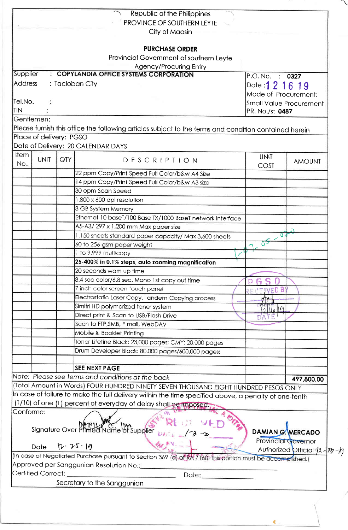|                         |                | Republic of the Philippines                                                                                                                             |                         |                              |  |
|-------------------------|----------------|---------------------------------------------------------------------------------------------------------------------------------------------------------|-------------------------|------------------------------|--|
|                         |                | PROVINCE OF SOUTHERN LEYTE                                                                                                                              |                         |                              |  |
|                         |                | City of Maasin                                                                                                                                          |                         |                              |  |
|                         |                | <b>PURCHASE ORDER</b>                                                                                                                                   |                         |                              |  |
|                         |                | Provincial Government of southern Leyte                                                                                                                 |                         |                              |  |
|                         |                | Agency/Procuring Entry                                                                                                                                  |                         |                              |  |
| Supplier                |                | : COPYLANDIA OFFICE SYSTEMS CORPORATION                                                                                                                 | P.O. No. : 0327         |                              |  |
| <b>Address</b>          |                | : Tacloban City                                                                                                                                         | Date: 1 2 1 6 1 9       |                              |  |
|                         |                |                                                                                                                                                         | Mode of Procurement:    |                              |  |
| Tel.No.                 |                |                                                                                                                                                         | Small Value Procurement |                              |  |
| TIN                     |                |                                                                                                                                                         | PR. No./s: 0487         |                              |  |
| Gentlemen:              |                |                                                                                                                                                         |                         |                              |  |
|                         |                | Please furnish this office the following articles subject to the terms and condition contained herein                                                   |                         |                              |  |
| Place of delivery: PGSO |                |                                                                                                                                                         |                         |                              |  |
|                         |                | Date of Delivery: 20 CALENDAR DAYS                                                                                                                      |                         |                              |  |
| Item<br><b>UNIT</b>     | QTY.           |                                                                                                                                                         | <b>UNIT</b>             |                              |  |
| No.                     |                | DESCRIPTION                                                                                                                                             | COST                    | <b>AMOUNT</b>                |  |
|                         |                | 22 ppm Copy/Print Speed Full Color/b&w A4 Size                                                                                                          |                         |                              |  |
|                         |                | 14 ppm Copy/Print Speed Full Color/b&w A3 size                                                                                                          |                         |                              |  |
|                         |                | 30 opm Scan Speed                                                                                                                                       |                         |                              |  |
|                         |                | 1,800 x 600 dpi resolution                                                                                                                              |                         |                              |  |
|                         |                | 3 GB System Memory                                                                                                                                      |                         |                              |  |
|                         |                | Ethernet 10 baseT/100 Base TX/1000 BaseT network interface                                                                                              |                         |                              |  |
|                         |                | A5-A3/297 x 1,200 mm Max paper size                                                                                                                     |                         |                              |  |
|                         |                | 1,150 sheets standard paper capacity/ Max 3,600 sheets                                                                                                  | o                       |                              |  |
|                         |                | 60 to 256 gsm paper weight                                                                                                                              |                         |                              |  |
|                         |                | 1 to 9,999 multicopy                                                                                                                                    |                         |                              |  |
|                         |                | 25-400% in 0.1% steps, auto zooming magnification                                                                                                       |                         |                              |  |
|                         |                | 20 seconds wam up time                                                                                                                                  |                         |                              |  |
|                         |                | 8.4 sec color/6.8 sec. Mono 1st copy out time                                                                                                           |                         |                              |  |
|                         |                | 7 inch color screen touch panel                                                                                                                         |                         |                              |  |
|                         |                | Electrostatic Laser Copy, Tandem Copying process                                                                                                        |                         |                              |  |
|                         |                | Simitri HD polymerized toner system                                                                                                                     | ll Û                    |                              |  |
|                         |                | Direct print & Scan to USB/Flash Drive                                                                                                                  |                         |                              |  |
|                         |                | Scan to FTP, SMB, E mail, WebDAV                                                                                                                        |                         |                              |  |
|                         |                | Mobile & Booklet Printing                                                                                                                               |                         |                              |  |
|                         |                | Toner Lifetine Black: 23,000 pages; CMY: 20,000 pages                                                                                                   |                         |                              |  |
|                         |                | Drum Developer Black: 80,000 pages/600,000 pages:                                                                                                       |                         |                              |  |
|                         |                |                                                                                                                                                         |                         |                              |  |
|                         |                | <b>SEE NEXT PAGE</b>                                                                                                                                    |                         |                              |  |
|                         |                | Note: Please see terms and conditions at the back                                                                                                       |                         | 497,800.00                   |  |
|                         |                | (Total Amount in Words) FOUR HUNDRED NINETY SEVEN THOUSAND EIGHT HUNDRED PESOS ONLY                                                                     |                         |                              |  |
|                         |                | In case of failure to make the full delivery within the time specified above, a penalty of one-tenth                                                    |                         |                              |  |
|                         |                | (1/10) of one (1) percent of everyday of delay shall be imposed.                                                                                        |                         |                              |  |
| Conforme:               |                |                                                                                                                                                         |                         |                              |  |
|                         |                |                                                                                                                                                         |                         |                              |  |
|                         |                | Signature Over Phirted Name of Supplier                                                                                                                 |                         | <b>DAMIAN G. MERCADO</b>     |  |
| <b>Date</b>             | $12 - 25 - 19$ |                                                                                                                                                         |                         | Provincial Governor          |  |
|                         |                |                                                                                                                                                         |                         | Authorized Official 12-12-13 |  |
|                         |                | (In case of Negotiated Purchase pursuant to Section 369 (a) of RA 7160, this portion must be accomplished.)<br>Approved per Sanggunian Resolution No.:_ |                         |                              |  |
| Certified Correct:      |                |                                                                                                                                                         |                         |                              |  |
|                         |                | Date:                                                                                                                                                   |                         |                              |  |
|                         |                | Secretary to the Sanggunian                                                                                                                             |                         |                              |  |